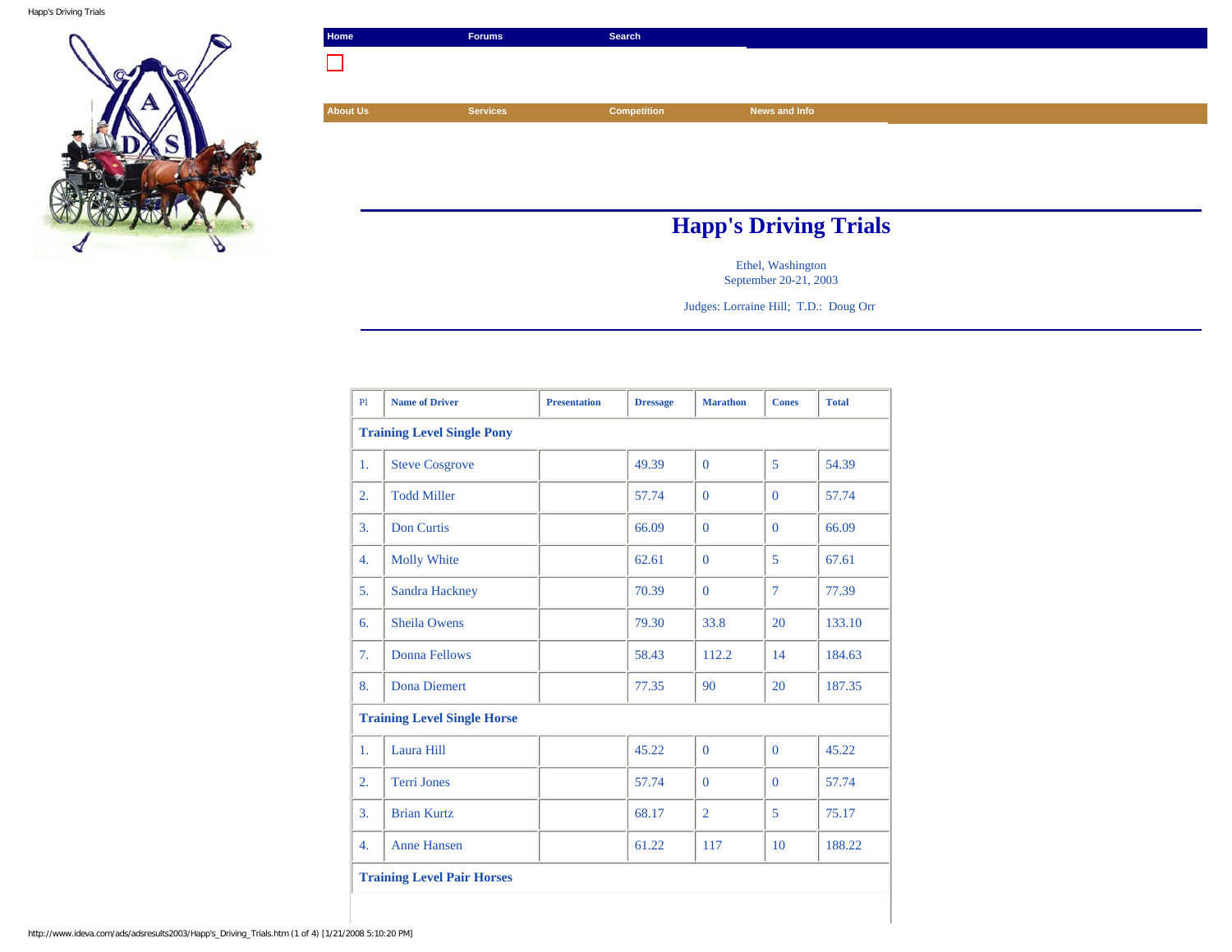

| Home                         | <b>Forums</b>   | Search             |               |  |  |
|------------------------------|-----------------|--------------------|---------------|--|--|
|                              |                 |                    |               |  |  |
|                              |                 |                    |               |  |  |
| <b>About Us</b>              | <b>Services</b> | <b>Competition</b> | News and Info |  |  |
|                              |                 |                    |               |  |  |
|                              |                 |                    |               |  |  |
|                              |                 |                    |               |  |  |
|                              |                 |                    |               |  |  |
| <b>Happ's Driving Trials</b> |                 |                    |               |  |  |

Ethel, Washington September 20-21, 2003

Judges: Lorraine Hill; T.D.: Doug Orr

| P1                                | <b>Name of Driver</b>              | <b>Presentation</b> | <b>Dressage</b> | <b>Marathon</b> | <b>Cones</b>   | <b>Total</b> |  |  |
|-----------------------------------|------------------------------------|---------------------|-----------------|-----------------|----------------|--------------|--|--|
| <b>Training Level Single Pony</b> |                                    |                     |                 |                 |                |              |  |  |
| 1.                                | <b>Steve Cosgrove</b>              |                     | 49.39           | $\Omega$        | 5              | 54.39        |  |  |
| $\overline{2}$ .                  | <b>Todd Miller</b>                 |                     | 57.74           | $\Omega$        | $\Omega$       | 57.74        |  |  |
| 3.                                | <b>Don Curtis</b>                  |                     | 66.09           | $\Omega$        | $\overline{0}$ | 66.09        |  |  |
| 4.                                | <b>Molly White</b>                 |                     | 62.61           | $\Omega$        | 5              | 67.61        |  |  |
| 5.                                | Sandra Hackney                     |                     | 70.39           | $\Omega$        | $\overline{7}$ | 77.39        |  |  |
| 6.                                | <b>Sheila Owens</b>                |                     | 79.30           | 33.8            | 20             | 133.10       |  |  |
| 7.                                | Donna Fellows                      |                     | 58.43           | 112.2           | 14             | 184.63       |  |  |
| 8.                                | <b>Dona Diemert</b>                |                     | 77.35           | 90              | 20             | 187.35       |  |  |
|                                   | <b>Training Level Single Horse</b> |                     |                 |                 |                |              |  |  |
| 1.                                | Laura Hill                         |                     | 45.22           | $\Omega$        | $\overline{0}$ | 45.22        |  |  |
| $\overline{2}$ .                  | <b>Terri Jones</b>                 |                     | 57.74           | $\Omega$        | $\Omega$       | 57.74        |  |  |
| 3.                                | <b>Brian Kurtz</b>                 |                     | 68.17           | $\overline{2}$  | 5              | 75.17        |  |  |
| 4.                                | <b>Anne Hansen</b>                 |                     | 61.22           | 117             | 10             | 188.22       |  |  |
|                                   | <b>Training Level Pair Horses</b>  |                     |                 |                 |                |              |  |  |
|                                   |                                    |                     |                 |                 |                |              |  |  |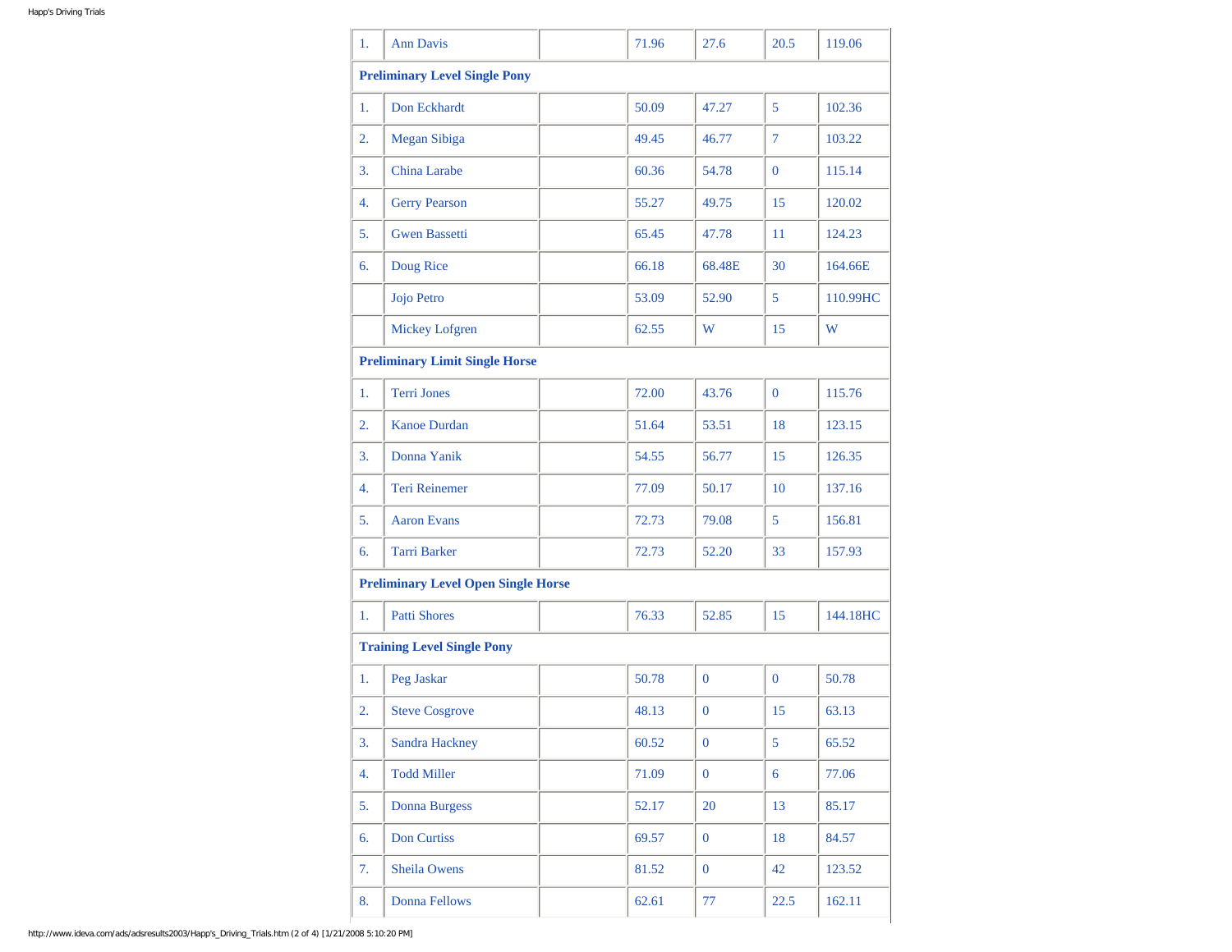| 1.                                         | <b>Ann Davis</b>                  |  | 71.96 | 27.6           | 20.5           | 119.06   |  |
|--------------------------------------------|-----------------------------------|--|-------|----------------|----------------|----------|--|
| <b>Preliminary Level Single Pony</b>       |                                   |  |       |                |                |          |  |
| 1.                                         | Don Eckhardt                      |  | 50.09 | 47.27          | 5              | 102.36   |  |
| 2.                                         | Megan Sibiga                      |  | 49.45 | 46.77          | $\overline{7}$ | 103.22   |  |
| 3.                                         | China Larabe                      |  | 60.36 | 54.78          | $\overline{0}$ | 115.14   |  |
| 4.                                         | <b>Gerry Pearson</b>              |  | 55.27 | 49.75          | 15             | 120.02   |  |
| 5.                                         | <b>Gwen Bassetti</b>              |  | 65.45 | 47.78          | 11             | 124.23   |  |
| 6.                                         | Doug Rice                         |  | 66.18 | 68.48E         | 30             | 164.66E  |  |
|                                            | Jojo Petro                        |  | 53.09 | 52.90          | 5              | 110.99HC |  |
|                                            | Mickey Lofgren                    |  | 62.55 | W              | 15             | W        |  |
| <b>Preliminary Limit Single Horse</b>      |                                   |  |       |                |                |          |  |
| 1.                                         | <b>Terri Jones</b>                |  | 72.00 | 43.76          | $\overline{0}$ | 115.76   |  |
| $\overline{2}$ .                           | <b>Kanoe Durdan</b>               |  | 51.64 | 53.51          | 18             | 123.15   |  |
| 3.                                         | Donna Yanik                       |  | 54.55 | 56.77          | 15             | 126.35   |  |
| 4.                                         | <b>Teri Reinemer</b>              |  | 77.09 | 50.17          | 10             | 137.16   |  |
| 5.                                         | <b>Aaron Evans</b>                |  | 72.73 | 79.08          | 5              | 156.81   |  |
| 6.                                         | <b>Tarri Barker</b>               |  | 72.73 | 52.20          | 33             | 157.93   |  |
| <b>Preliminary Level Open Single Horse</b> |                                   |  |       |                |                |          |  |
| 1.                                         | <b>Patti Shores</b>               |  | 76.33 | 52.85          | 15             | 144.18HC |  |
|                                            | <b>Training Level Single Pony</b> |  |       |                |                |          |  |
| 1.                                         | Peg Jaskar                        |  | 50.78 | $\mathbf{0}$   | $\mathbf{0}$   | 50.78    |  |
| 2.                                         | <b>Steve Cosgrove</b>             |  | 48.13 | $\mathbf{0}$   | 15             | 63.13    |  |
| 3.                                         | Sandra Hackney                    |  | 60.52 | $\mathbf{0}$   | 5              | 65.52    |  |
| 4.                                         | <b>Todd Miller</b>                |  | 71.09 | $\overline{0}$ | $\overline{6}$ | 77.06    |  |
| 5.                                         | <b>Donna Burgess</b>              |  | 52.17 | 20             | 13             | 85.17    |  |
| 6.                                         | Don Curtiss                       |  | 69.57 | $\overline{0}$ | 18             | 84.57    |  |
| 7.                                         | <b>Sheila Owens</b>               |  | 81.52 | $\overline{0}$ | 42             | 123.52   |  |
| 8.                                         | <b>Donna Fellows</b>              |  | 62.61 | 77             | 22.5           | 162.11   |  |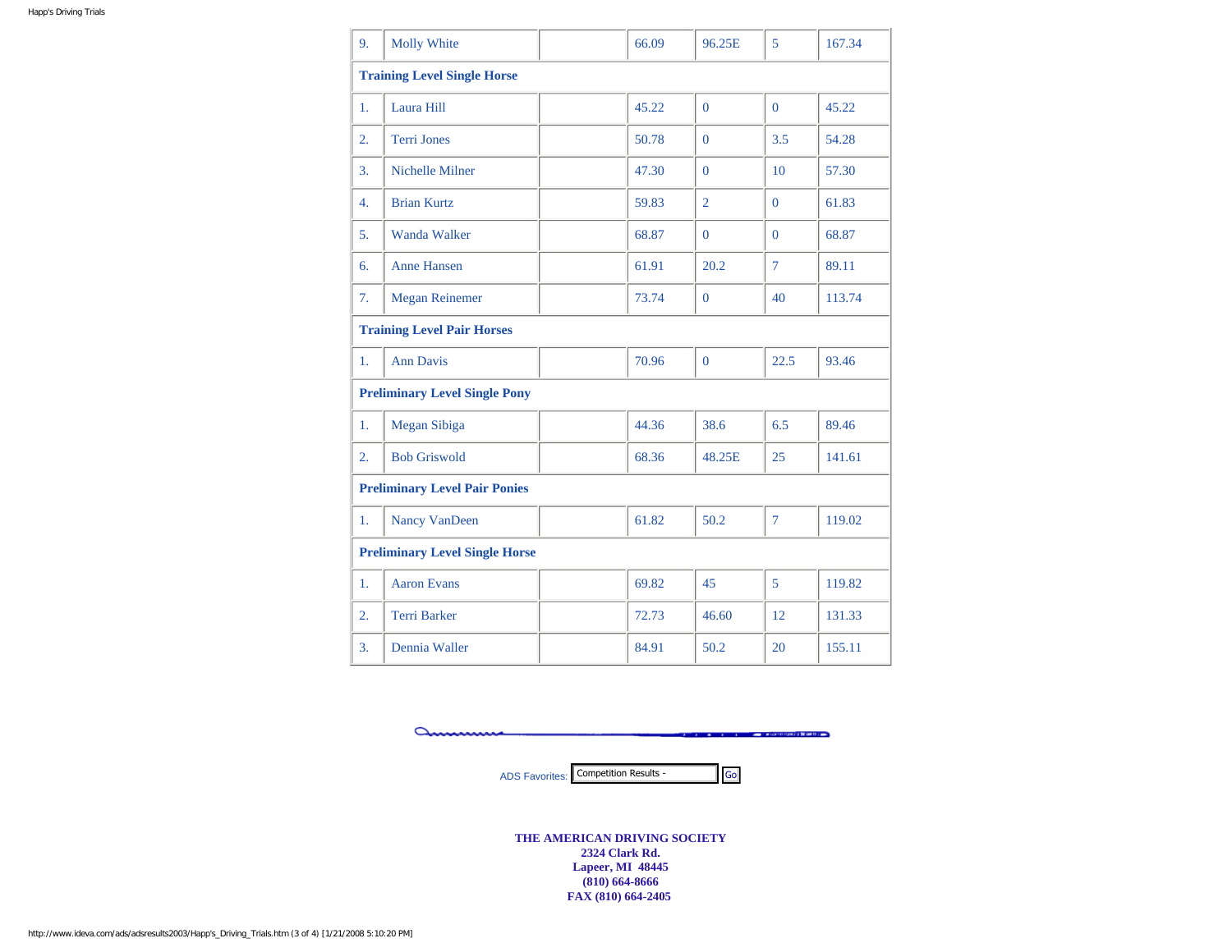| 9.                                    | <b>Molly White</b>                   |  | 66.09 | 96.25E         | 5              | 167.34 |  |  |
|---------------------------------------|--------------------------------------|--|-------|----------------|----------------|--------|--|--|
| <b>Training Level Single Horse</b>    |                                      |  |       |                |                |        |  |  |
| 1.                                    | Laura Hill                           |  | 45.22 | $\overline{0}$ | $\mathbf{0}$   | 45.22  |  |  |
| 2.                                    | <b>Terri Jones</b>                   |  | 50.78 | $\Omega$       | 3.5            | 54.28  |  |  |
| 3.                                    | Nichelle Milner                      |  | 47.30 | $\Omega$       | 10             | 57.30  |  |  |
| 4.                                    | <b>Brian Kurtz</b>                   |  | 59.83 | $\overline{2}$ | $\mathbf{0}$   | 61.83  |  |  |
| 5.                                    | <b>Wanda Walker</b>                  |  | 68.87 | $\Omega$       | $\Omega$       | 68.87  |  |  |
| 6.                                    | <b>Anne Hansen</b>                   |  | 61.91 | 20.2           | $\tau$         | 89.11  |  |  |
| 7.                                    | <b>Megan Reinemer</b>                |  | 73.74 | $\mathbf{0}$   | 40             | 113.74 |  |  |
| <b>Training Level Pair Horses</b>     |                                      |  |       |                |                |        |  |  |
| 1.                                    | <b>Ann Davis</b>                     |  | 70.96 | $\mathbf{0}$   | 22.5           | 93.46  |  |  |
|                                       | <b>Preliminary Level Single Pony</b> |  |       |                |                |        |  |  |
| 1.                                    | Megan Sibiga                         |  | 44.36 | 38.6           | 6.5            | 89.46  |  |  |
| $\overline{2}$ .                      | <b>Bob Griswold</b>                  |  | 68.36 | 48.25E         | 25             | 141.61 |  |  |
| <b>Preliminary Level Pair Ponies</b>  |                                      |  |       |                |                |        |  |  |
| 1.                                    | Nancy VanDeen                        |  | 61.82 | 50.2           | $\overline{7}$ | 119.02 |  |  |
| <b>Preliminary Level Single Horse</b> |                                      |  |       |                |                |        |  |  |
| 1.                                    | <b>Aaron Evans</b>                   |  | 69.82 | 45             | 5              | 119.82 |  |  |
| 2.                                    | <b>Terri Barker</b>                  |  | 72.73 | 46.60          | 12             | 131.33 |  |  |
| 3.                                    | Dennia Waller                        |  | 84.91 | 50.2           | 20             | 155.11 |  |  |

anna **Contract Contract Contract Contract Contract Contract Contract** 

ADS Favorites: Competition Results - Go

**THE AMERICAN DRIVING SOCIETY 2324 Clark Rd. Lapeer, MI 48445 (810) 664-8666 FAX (810) 664-2405**